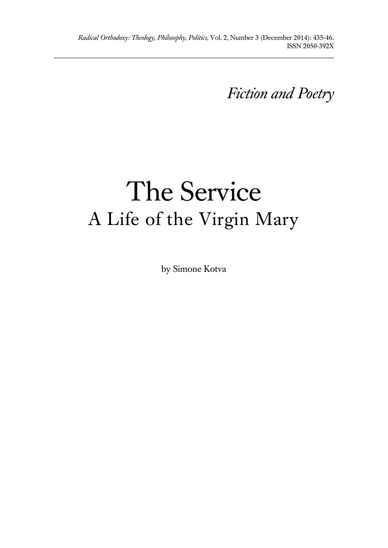*Fiction and Poetry*

# The Service A Life of the Virgin Mary

by Simone Kotva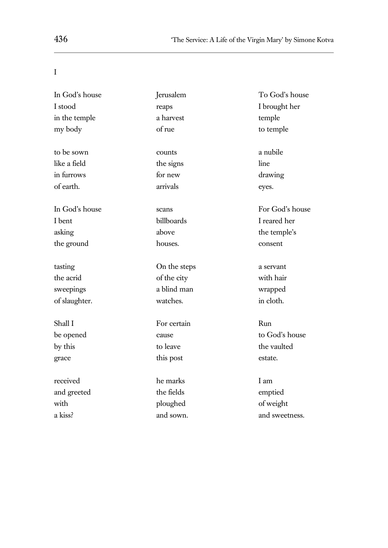### I

| In God's house | Jerusalem    | To God's house  |
|----------------|--------------|-----------------|
| I stood        | reaps        | I brought her   |
| in the temple  | a harvest    | temple          |
| my body        | of rue       | to temple       |
| to be sown     | counts       | a nubile        |
| like a field   | the signs    | line            |
| in furrows     | for new      | drawing         |
| of earth.      | arrivals     | eyes.           |
| In God's house | scans        | For God's house |
| I bent         | billboards   | I reared her    |
| asking         | above        | the temple's    |
| the ground     | houses.      | consent         |
| tasting        | On the steps | a servant       |
| the acrid      | of the city  | with hair       |
| sweepings      | a blind man  | wrapped         |
| of slaughter.  | watches.     | in cloth.       |
| Shall I        | For certain  | Run             |
| be opened      | cause        | to God's house  |
| by this        | to leave     | the vaulted     |
| grace          | this post    | estate.         |
| received       | he marks     | I am            |
| and greeted    | the fields   | emptied         |
| with           | ploughed     | of weight       |
| a kiss?        | and sown.    | and sweetness.  |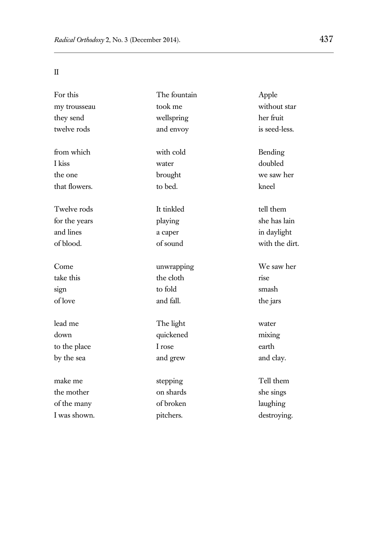II

| For this      | The fountain | Apple          |
|---------------|--------------|----------------|
| my trousseau  | took me      | without star   |
| they send     | wellspring   | her fruit      |
| twelve rods   | and envoy    | is seed-less.  |
| from which    | with cold    | Bending        |
| I kiss        | water        | doubled        |
| the one       | brought      | we saw her     |
| that flowers. | to bed.      | kneel          |
| Twelve rods   | It tinkled   | tell them      |
| for the years | playing      | she has lain   |
| and lines     | a caper      | in daylight    |
| of blood.     | of sound     | with the dirt. |
| Come          | unwrapping   | We saw her     |
| take this     | the cloth    | rise           |
| sign          | to fold      | smash          |
| of love       | and fall.    | the jars       |
| lead me       | The light    | water          |
| down          | quickened    | mixing         |
| to the place  | I rose       | earth          |
| by the sea    | and grew     | and clay.      |
| make me       | stepping     | Tell them      |
| the mother    | on shards    | she sings      |
| of the many   | of broken    | laughing       |
| I was shown.  | pitchers.    | destroying.    |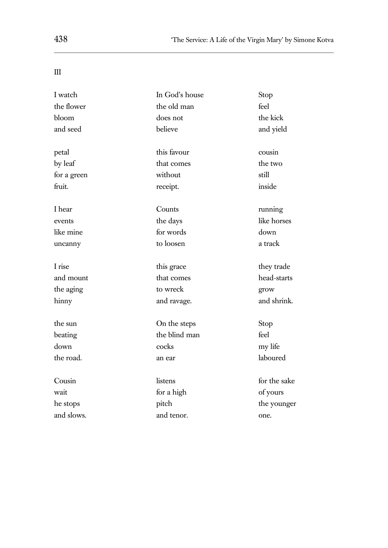III

L.

| I watch     | In God's house | Stop         |
|-------------|----------------|--------------|
| the flower  | the old man    | feel         |
| bloom       | does not       | the kick     |
| and seed    | believe        | and yield    |
| petal       | this favour    | cousin       |
| by leaf     | that comes     | the two      |
| for a green | without        | still        |
| fruit.      | receipt.       | inside       |
| I hear      | Counts         | running      |
| events      | the days       | like horses  |
| like mine   | for words      | down         |
| uncanny     | to loosen      | a track      |
| I rise      | this grace     | they trade   |
| and mount   | that comes     | head-starts  |
| the aging   | to wreck       | grow         |
| hinny       | and ravage.    | and shrink.  |
| the sun     | On the steps   | Stop         |
| beating     | the blind man  | feel         |
| down        | cocks          | my life      |
| the road.   | an ear         | laboured     |
| Cousin      | listens        | for the sake |
| wait        | for a high     | of yours     |
| he stops    | pitch          | the younger  |
| and slows.  | and tenor.     | one.         |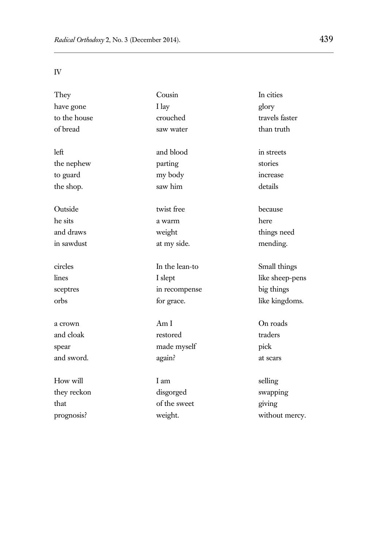IV

| They         | Cousin         | In cities       |
|--------------|----------------|-----------------|
| have gone    | I lay          | glory           |
| to the house | crouched       | travels faster  |
| of bread     | saw water      | than truth      |
|              |                |                 |
| left         | and blood      | in streets      |
| the nephew   | parting        | stories         |
| to guard     | my body        | increase        |
| the shop.    | saw him        | details         |
|              |                |                 |
| Outside      | twist free     | because         |
| he sits      | a warm         | here            |
| and draws    | weight         | things need     |
| in sawdust   | at my side.    | mending.        |
|              |                |                 |
| circles      | In the lean-to | Small things    |
| lines        | I slept        | like sheep-pens |
| sceptres     | in recompense  | big things      |
| orbs         | for grace.     | like kingdoms.  |
|              |                |                 |
| a crown      | Am I           | On roads        |
| and cloak    | restored       | traders         |
| spear        | made myself    | pick            |
| and sword.   | again?         | at scars        |
|              |                |                 |
| How will     | I am           | selling         |
| they reckon  | disgorged      | swapping        |
| that         | of the sweet   | giving          |
| prognosis?   | weight.        | without mercy.  |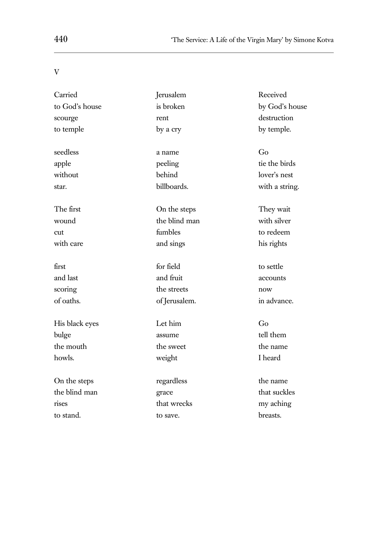## V

| Carried        | Jerusalem     | Received       |
|----------------|---------------|----------------|
| to God's house | is broken     | by God's house |
| scourge        | rent          | destruction    |
| to temple      | by a cry      | by temple.     |
| seedless       | a name        | Go             |
| apple          | peeling       | tie the birds  |
| without        | behind        | lover's nest   |
| star.          | billboards.   | with a string. |
| The first      | On the steps  | They wait      |
| wound          | the blind man | with silver    |
| cut            | fumbles       | to redeem      |
| with care      | and sings     | his rights     |
| first          | for field     | to settle      |
| and last       | and fruit     | accounts       |
| scoring        | the streets   | now            |
| of oaths.      | of Jerusalem. | in advance.    |
| His black eyes | Let him       | Go             |
| bulge          | assume        | tell them      |
| the mouth      | the sweet     | the name       |
| howls.         | weight        | I heard        |
| On the steps   | regardless    | the name       |
| the blind man  | grace         | that suckles   |
| rises          | that wrecks   | my aching      |
| to stand.      | to save.      | breasts.       |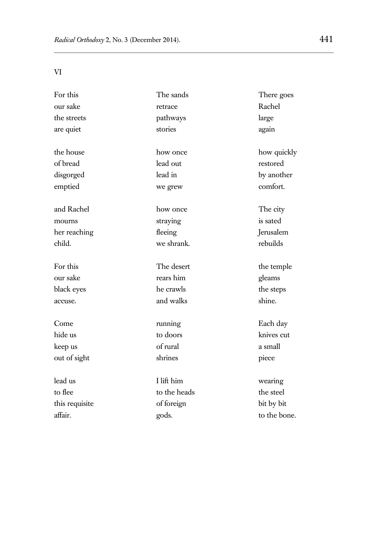VI

| For this       | The sands    | There goes   |
|----------------|--------------|--------------|
| our sake       | retrace      | Rachel       |
| the streets    | pathways     | large        |
| are quiet      | stories      | again        |
| the house      | how once     | how quickly  |
| of bread       | lead out     | restored     |
| disgorged      | lead in      | by another   |
| emptied        | we grew      | comfort.     |
| and Rachel     | how once     | The city     |
| mourns         | straying     | is sated     |
| her reaching   | fleeing      | Jerusalem    |
| child.         | we shrank.   | rebuilds     |
| For this       | The desert   | the temple   |
| our sake       | rears him    | gleams       |
| black eyes     | he crawls    | the steps    |
| accuse.        | and walks    | shine.       |
| Come           | running      | Each day     |
| hide us        | to doors     | knives cut   |
| keep us        | of rural     | a small      |
| out of sight   | shrines      | piece        |
| lead us        | I lift him   | wearing      |
| to flee        | to the heads | the steel    |
| this requisite | of foreign   | bit by bit   |
| affair.        | gods.        | to the bone. |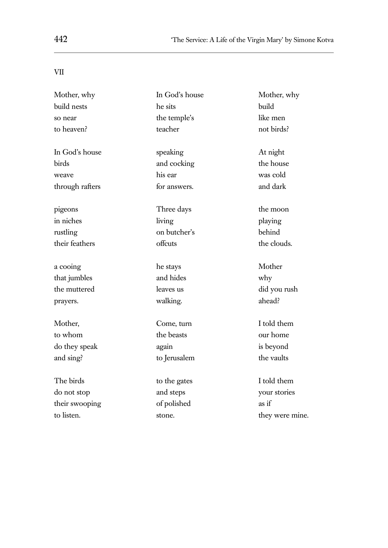## VII

L.

| Mother, why     | In God's house | Mother, why     |
|-----------------|----------------|-----------------|
| build nests     | he sits        | build           |
| so near         | the temple's   | like men        |
| to heaven?      | teacher        | not birds?      |
| In God's house  | speaking       | At night        |
| birds           | and cocking    | the house       |
| weave           | his ear        | was cold        |
| through rafters | for answers.   | and dark        |
| pigeons         | Three days     | the moon        |
| in niches       | living         | playing         |
| rustling        | on butcher's   | behind          |
| their feathers  | offcuts        | the clouds.     |
| a cooing        | he stays       | Mother          |
| that jumbles    | and hides      | why             |
| the muttered    | leaves us      | did you rush    |
| prayers.        | walking.       | ahead?          |
| Mother,         | Come, turn     | I told them     |
| to whom         | the beasts     | our home        |
| do they speak   | again          | is beyond       |
| and sing?       | to Jerusalem   | the vaults      |
| The birds       | to the gates   | I told them     |
| do not stop     | and steps      | your stories    |
| their swooping  | of polished    | as if           |
| to listen.      | stone.         | they were mine. |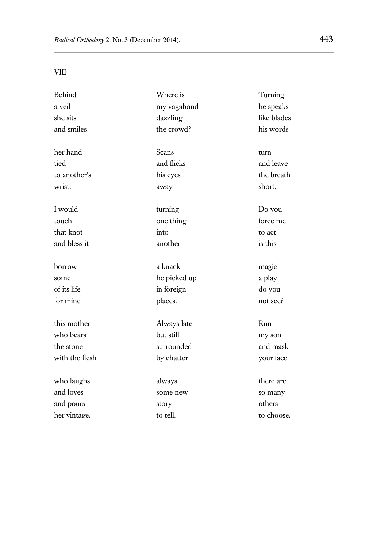VIII

| Behind         | Where is     | Turning     |
|----------------|--------------|-------------|
| a veil         | my vagabond  | he speaks   |
| she sits       | dazzling     | like blades |
| and smiles     | the crowd?   | his words   |
| her hand       | Scans        | turn        |
| tied           | and flicks   | and leave   |
| to another's   | his eyes     | the breath  |
| wrist.         | away         | short.      |
| I would        | turning      | Do you      |
| touch          | one thing    | force me    |
| that knot      | into         | to act      |
| and bless it   | another      | is this     |
| borrow         | a knack      | magic       |
| some           | he picked up | a play      |
| of its life    | in foreign   | do you      |
| for mine       | places.      | not see?    |
| this mother    | Always late  | Run         |
| who bears      | but still    | my son      |
| the stone      | surrounded   | and mask    |
| with the flesh | by chatter   | your face   |
| who laughs     | always       | there are   |
| and loves      | some new     | so many     |
| and pours      | story        | others      |
| her vintage.   | to tell.     | to choose.  |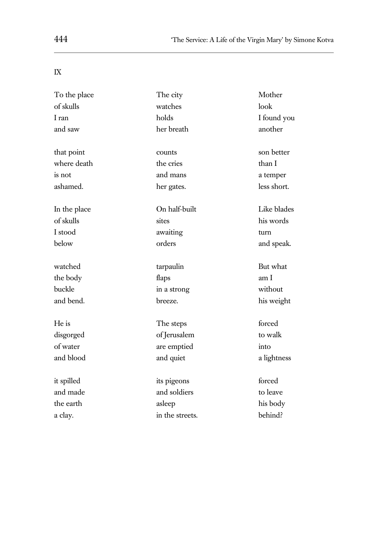## IX

L.

| To the place | The city        | Mother      |
|--------------|-----------------|-------------|
| of skulls    | watches         | look        |
| I ran        | holds           | I found you |
| and saw      | her breath      | another     |
| that point   | counts          | son better  |
| where death  | the cries       | than I      |
| is not       | and mans        | a temper    |
| ashamed.     | her gates.      | less short. |
| In the place | On half-built   | Like blades |
| of skulls    | sites           | his words   |
| I stood      | awaiting        | turn        |
| below        | orders          | and speak.  |
| watched      | tarpaulin       | But what    |
| the body     | flaps           | am I        |
| buckle       | in a strong     | without     |
| and bend.    | breeze.         | his weight  |
| He is        | The steps       | forced      |
| disgorged    | of Jerusalem    | to walk     |
| of water     | are emptied     | into        |
| and blood    | and quiet       | a lightness |
| it spilled   | its pigeons     | forced      |
| and made     | and soldiers    | to leave    |
| the earth    | asleep          | his body    |
| a clay.      | in the streets. | behind?     |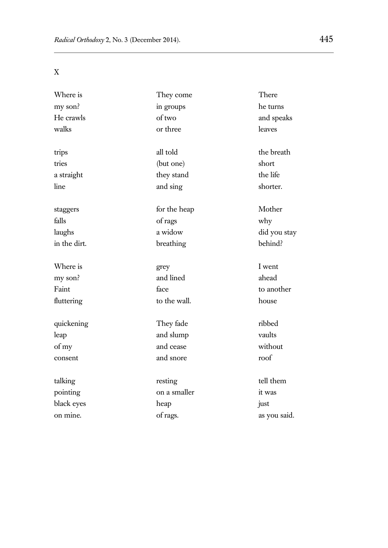X

| Where is     | They come    | There        |
|--------------|--------------|--------------|
| my son?      | in groups    | he turns     |
| He crawls    | of two       | and speaks   |
| walks        | or three     | leaves       |
| trips        | all told     | the breath   |
| tries        | (but one)    | short        |
| a straight   | they stand   | the life     |
| line         | and sing     | shorter.     |
| staggers     | for the heap | Mother       |
| falls        | of rags      | why          |
| laughs       | a widow      | did you stay |
| in the dirt. | breathing    | behind?      |
| Where is     | grey         | I went       |
| my son?      | and lined    | ahead        |
| Faint        | face         | to another   |
| fluttering   | to the wall. | house        |
| quickening   | They fade    | ribbed       |
| leap         | and slump    | vaults       |
| of my        | and cease    | without      |
| consent      | and snore    | roof         |
| talking      | resting      | tell them    |
| pointing     | on a smaller | it was       |
| black eyes   | heap         | just         |
| on mine.     | of rags.     | as you said. |